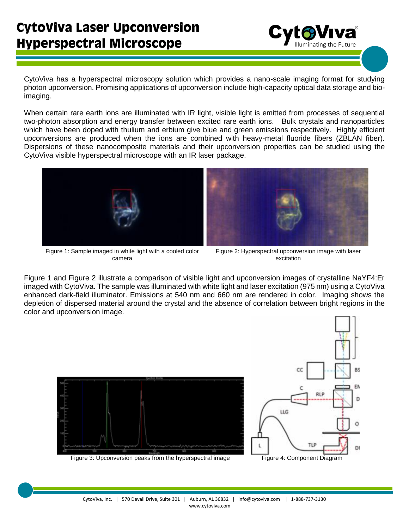

CytoViva has a hyperspectral microscopy solution which provides a nano-scale imaging format for studying photon upconversion. Promising applications of upconversion include high-capacity optical data storage and bioimaging.

When certain rare earth ions are illuminated with IR light, visible light is emitted from processes of sequential two-photon absorption and energy transfer between excited rare earth ions. Bulk crystals and nanoparticles which have been doped with thulium and erbium give blue and green emissions respectively. Highly efficient upconversions are produced when the ions are combined with heavy-metal fluoride fibers (ZBLAN fiber). Dispersions of these nanocomposite materials and their upconversion properties can be studied using the CytoViva visible hyperspectral microscope with an IR laser package.



Figure 1: Sample imaged in white light with a cooled color camera



Figure 2: Hyperspectral upconversion image with laser excitation

Figure 1 and Figure 2 illustrate a comparison of visible light and upconversion images of crystalline NaYF4:Er imaged with CytoViva. The sample was illuminated with white light and laser excitation (975 nm) using a CytoViva enhanced dark-field illuminator. Emissions at 540 nm and 660 nm are rendered in color. Imaging shows the depletion of dispersed material around the crystal and the absence of correlation between bright regions in the color and upconversion image.